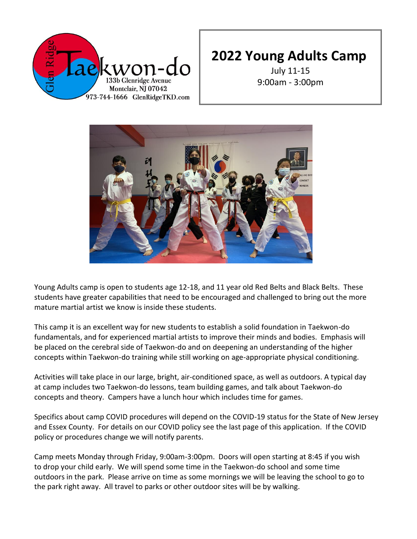

July 11-15 9:00am - 3:00pm



Young Adults camp is open to students age 12-18, and 11 year old Red Belts and Black Belts. These students have greater capabilities that need to be encouraged and challenged to bring out the more mature martial artist we know is inside these students.

This camp it is an excellent way for new students to establish a solid foundation in Taekwon-do fundamentals, and for experienced martial artists to improve their minds and bodies. Emphasis will be placed on the cerebral side of Taekwon-do and on deepening an understanding of the higher concepts within Taekwon-do training while still working on age-appropriate physical conditioning.

Activities will take place in our large, bright, air-conditioned space, as well as outdoors. A typical day at camp includes two Taekwon-do lessons, team building games, and talk about Taekwon-do concepts and theory. Campers have a lunch hour which includes time for games.

Specifics about camp COVID procedures will depend on the COVID-19 status for the State of New Jersey and Essex County. For details on our COVID policy see the last page of this application. If the COVID policy or procedures change we will notify parents.

Camp meets Monday through Friday, 9:00am-3:00pm. Doors will open starting at 8:45 if you wish to drop your child early. We will spend some time in the Taekwon-do school and some time outdoors in the park. Please arrive on time as some mornings we will be leaving the school to go to the park right away. All travel to parks or other outdoor sites will be by walking.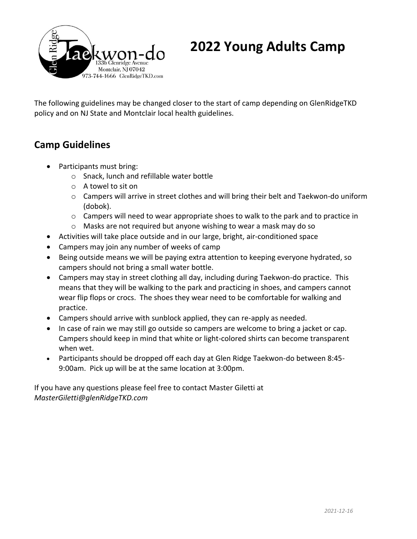

The following guidelines may be changed closer to the start of camp depending on GlenRidgeTKD policy and on NJ State and Montclair local health guidelines.

## **Camp Guidelines**

- Participants must bring:
	- o Snack, lunch and refillable water bottle
	- o A towel to sit on
	- o Campers will arrive in street clothes and will bring their belt and Taekwon-do uniform (dobok).
	- $\circ$  Campers will need to wear appropriate shoes to walk to the park and to practice in
	- o Masks are not required but anyone wishing to wear a mask may do so
- Activities will take place outside and in our large, bright, air-conditioned space
- Campers may join any number of weeks of camp
- Being outside means we will be paying extra attention to keeping everyone hydrated, so campers should not bring a small water bottle.
- Campers may stay in street clothing all day, including during Taekwon-do practice. This means that they will be walking to the park and practicing in shoes, and campers cannot wear flip flops or crocs. The shoes they wear need to be comfortable for walking and practice.
- Campers should arrive with sunblock applied, they can re-apply as needed.
- In case of rain we may still go outside so campers are welcome to bring a jacket or cap. Campers should keep in mind that white or light-colored shirts can become transparent when wet.
- Participants should be dropped off each day at Glen Ridge Taekwon-do between 8:45- 9:00am. Pick up will be at the same location at 3:00pm.

If you have any questions please feel free to contact Master Giletti at *MasterGiletti@glenRidgeTKD.com*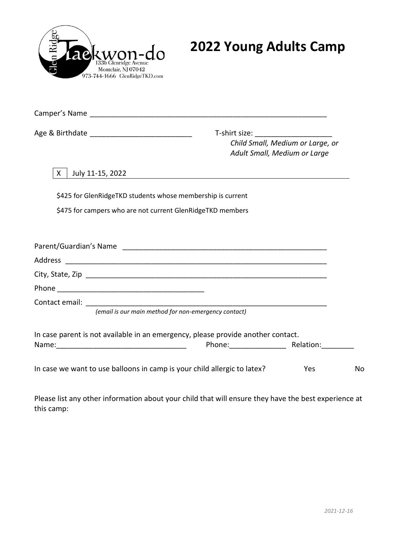

| Age & Birthdate _________________________________                                | T-shirt size: _________________________ | Child Small, Medium or Large, or<br>Adult Small, Medium or Large |
|----------------------------------------------------------------------------------|-----------------------------------------|------------------------------------------------------------------|
| July 11-15, 2022<br>X.                                                           |                                         |                                                                  |
| \$425 for GlenRidgeTKD students whose membership is current                      |                                         |                                                                  |
| \$475 for campers who are not current GlenRidgeTKD members                       |                                         |                                                                  |
|                                                                                  |                                         |                                                                  |
|                                                                                  |                                         |                                                                  |
|                                                                                  |                                         |                                                                  |
|                                                                                  |                                         |                                                                  |
|                                                                                  |                                         |                                                                  |
| (email is our main method for non-emergency contact)                             |                                         |                                                                  |
| In case parent is not available in an emergency, please provide another contact. |                                         |                                                                  |
| In case we want to use balloons in camp is your child allergic to latex?         |                                         | Yes                                                              |

Please list any other information about your child that will ensure they have the best experience at this camp: